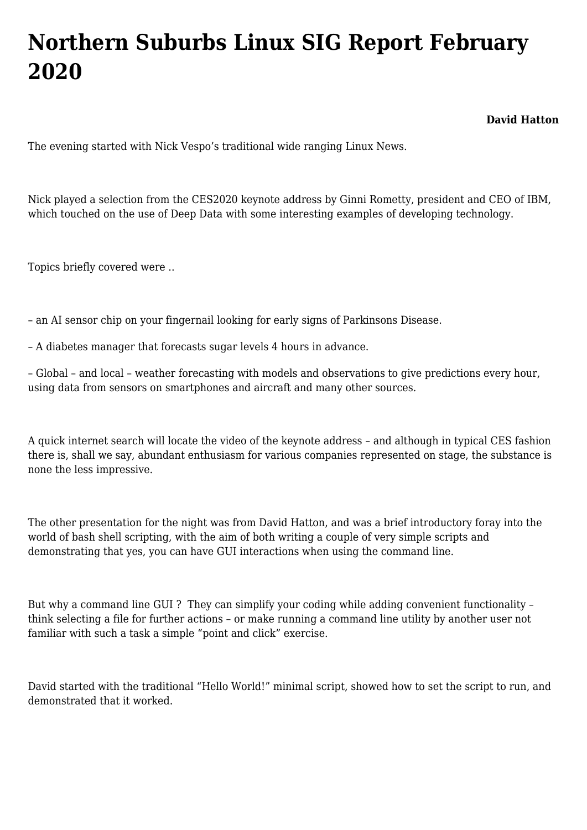## **[Northern Suburbs Linux SIG Report February](https://www.melbpc.org.au/northern-suburbs-linux-sig-report-february-2020/) [2020](https://www.melbpc.org.au/northern-suburbs-linux-sig-report-february-2020/)**

**David Hatton**

The evening started with Nick Vespo's traditional wide ranging Linux News.

Nick played a selection from the CES2020 keynote address by Ginni Rometty, president and CEO of IBM, which touched on the use of Deep Data with some interesting examples of developing technology.

Topics briefly covered were ..

– an AI sensor chip on your fingernail looking for early signs of Parkinsons Disease.

– A diabetes manager that forecasts sugar levels 4 hours in advance.

– Global – and local – weather forecasting with models and observations to give predictions every hour, using data from sensors on smartphones and aircraft and many other sources.

A quick internet search will locate the video of the keynote address – and although in typical CES fashion there is, shall we say, abundant enthusiasm for various companies represented on stage, the substance is none the less impressive.

The other presentation for the night was from David Hatton, and was a brief introductory foray into the world of bash shell scripting, with the aim of both writing a couple of very simple scripts and demonstrating that yes, you can have GUI interactions when using the command line.

But why a command line GUI? They can simplify your coding while adding convenient functionality think selecting a file for further actions – or make running a command line utility by another user not familiar with such a task a simple "point and click" exercise.

David started with the traditional "Hello World!" minimal script, showed how to set the script to run, and demonstrated that it worked.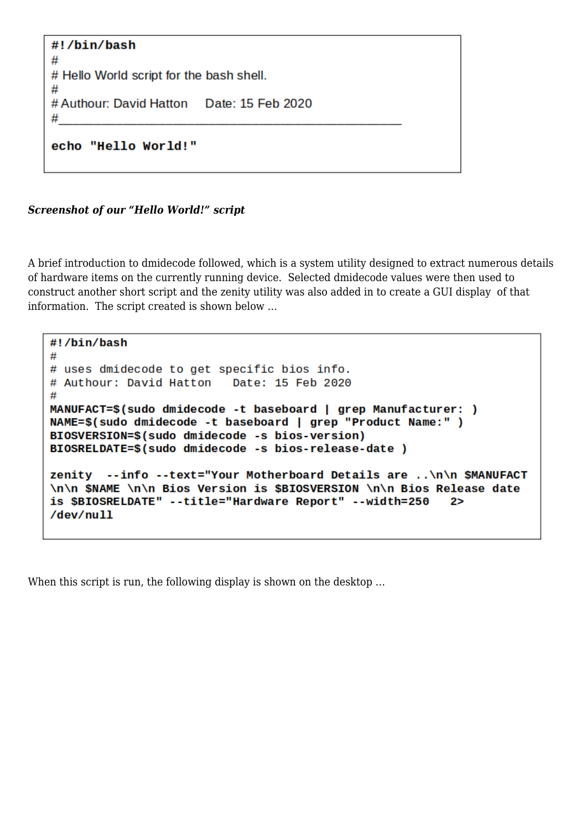```
#!/bin/bash
## Hello World script for the bash shell.
#
# Authour: David Hatton
                        Date: 15 Feb 2020
#
echo "Hello World!"
```
*Screenshot of our "Hello World!" script*

A brief introduction to dmidecode followed, which is a system utility designed to extract numerous details of hardware items on the currently running device. Selected dmidecode values were then used to construct another short script and the zenity utility was also added in to create a GUI display of that information. The script created is shown below …

```
#!/bin/bash
## uses dmidecode to get specific bios info.
# Authour: David Hatton
                          Date: 15 Feb 2020
#MANUFACT=$(sudo dmidecode -t baseboard | grep Manufacturer: )
NAME=$(sudo dmidecode -t baseboard | grep "Product Name:" )
BIOSVERSION=$(sudo dmidecode -s bios-version)
BIOSRELDATE=$(sudo dmidecode -s bios-release-date)
zenity --info --text="Your Motherboard Details are ..\n\n $MANUFACT
\n\n $NAME \n\n Bios Version is $BIOSVERSION \n\n Bios Release date
is $BIOSRELDATE" --title="Hardware Report" --width=250
                                                         2>/dev/null
```
When this script is run, the following display is shown on the desktop ...